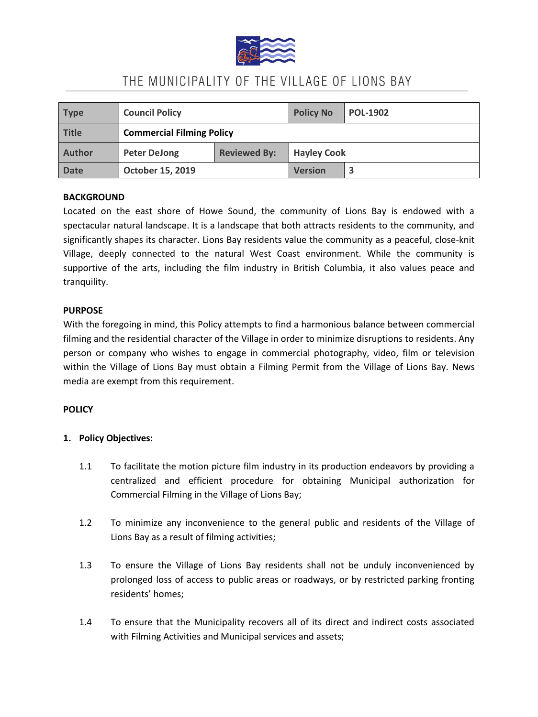

| <b>Type</b>   | <b>Council Policy</b>            |                     | <b>Policy No</b>   | <b>POL-1902</b> |
|---------------|----------------------------------|---------------------|--------------------|-----------------|
| <b>Title</b>  | <b>Commercial Filming Policy</b> |                     |                    |                 |
| <b>Author</b> | <b>Peter DeJong</b>              | <b>Reviewed By:</b> | <b>Hayley Cook</b> |                 |
| <b>Date</b>   | <b>October 15, 2019</b>          |                     | <b>Version</b>     |                 |

### **BACKGROUND**

Located on the east shore of Howe Sound, the community of Lions Bay is endowed with a spectacular natural landscape. It is a landscape that both attracts residents to the community, and significantly shapes its character. Lions Bay residents value the community as a peaceful, close-knit Village, deeply connected to the natural West Coast environment. While the community is supportive of the arts, including the film industry in British Columbia, it also values peace and tranquility.

#### **PURPOSE**

With the foregoing in mind, this Policy attempts to find a harmonious balance between commercial filming and the residential character of the Village in order to minimize disruptions to residents. Any person or company who wishes to engage in commercial photography, video, film or television within the Village of Lions Bay must obtain a Filming Permit from the Village of Lions Bay. News media are exempt from this requirement.

### **POLICY**

### **1. Policy Objectives:**

- 1.1 To facilitate the motion picture film industry in its production endeavors by providing a centralized and efficient procedure for obtaining Municipal authorization for Commercial Filming in the Village of Lions Bay;
- 1.2 To minimize any inconvenience to the general public and residents of the Village of Lions Bay as a result of filming activities;
- 1.3 To ensure the Village of Lions Bay residents shall not be unduly inconvenienced by prolonged loss of access to public areas or roadways, or by restricted parking fronting residents' homes;
- 1.4 To ensure that the Municipality recovers all of its direct and indirect costs associated with Filming Activities and Municipal services and assets;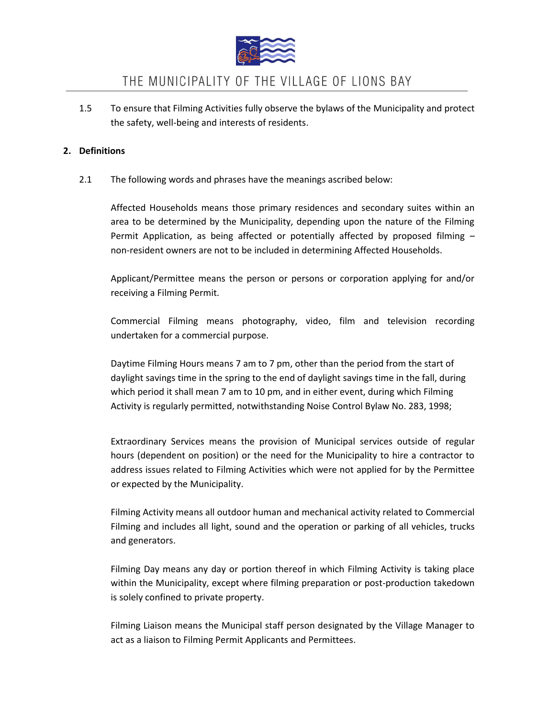

1.5 To ensure that Filming Activities fully observe the bylaws of the Municipality and protect the safety, well-being and interests of residents.

### **2. Definitions**

2.1 The following words and phrases have the meanings ascribed below:

Affected Households means those primary residences and secondary suites within an area to be determined by the Municipality, depending upon the nature of the Filming Permit Application, as being affected or potentially affected by proposed filming – non-resident owners are not to be included in determining Affected Households.

Applicant/Permittee means the person or persons or corporation applying for and/or receiving a Filming Permit.

Commercial Filming means photography, video, film and television recording undertaken for a commercial purpose.

Daytime Filming Hours means 7 am to 7 pm, other than the period from the start of daylight savings time in the spring to the end of daylight savings time in the fall, during which period it shall mean 7 am to 10 pm, and in either event, during which Filming Activity is regularly permitted, notwithstanding Noise Control Bylaw No. 283, 1998;

Extraordinary Services means the provision of Municipal services outside of regular hours (dependent on position) or the need for the Municipality to hire a contractor to address issues related to Filming Activities which were not applied for by the Permittee or expected by the Municipality.

Filming Activity means all outdoor human and mechanical activity related to Commercial Filming and includes all light, sound and the operation or parking of all vehicles, trucks and generators.

Filming Day means any day or portion thereof in which Filming Activity is taking place within the Municipality, except where filming preparation or post-production takedown is solely confined to private property.

Filming Liaison means the Municipal staff person designated by the Village Manager to act as a liaison to Filming Permit Applicants and Permittees.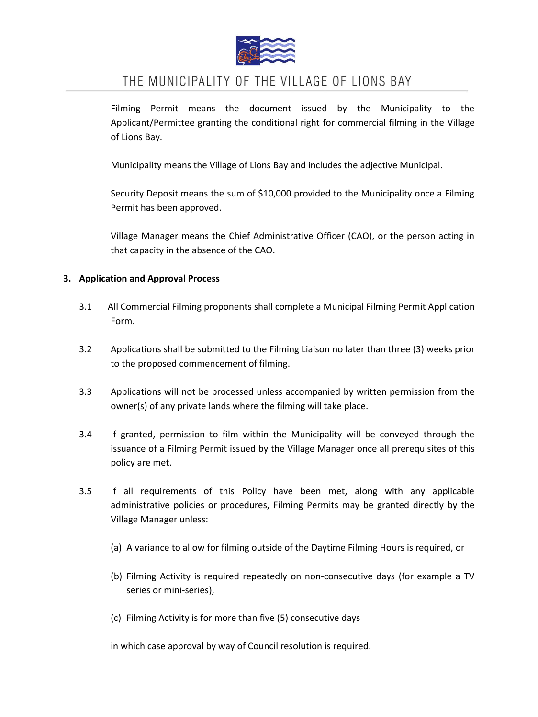

Filming Permit means the document issued by the Municipality to the Applicant/Permittee granting the conditional right for commercial filming in the Village of Lions Bay.

Municipality means the Village of Lions Bay and includes the adjective Municipal.

Security Deposit means the sum of \$10,000 provided to the Municipality once a Filming Permit has been approved.

Village Manager means the Chief Administrative Officer (CAO), or the person acting in that capacity in the absence of the CAO.

## **3. Application and Approval Process**

- 3.1 All Commercial Filming proponents shall complete a Municipal Filming Permit Application Form.
- 3.2 Applications shall be submitted to the Filming Liaison no later than three (3) weeks prior to the proposed commencement of filming.
- 3.3 Applications will not be processed unless accompanied by written permission from the owner(s) of any private lands where the filming will take place.
- 3.4 If granted, permission to film within the Municipality will be conveyed through the issuance of a Filming Permit issued by the Village Manager once all prerequisites of this policy are met.
- 3.5 If all requirements of this Policy have been met, along with any applicable administrative policies or procedures, Filming Permits may be granted directly by the Village Manager unless:
	- (a) A variance to allow for filming outside of the Daytime Filming Hours is required, or
	- (b) Filming Activity is required repeatedly on non-consecutive days (for example a TV series or mini-series),
	- (c) Filming Activity is for more than five (5) consecutive days

in which case approval by way of Council resolution is required.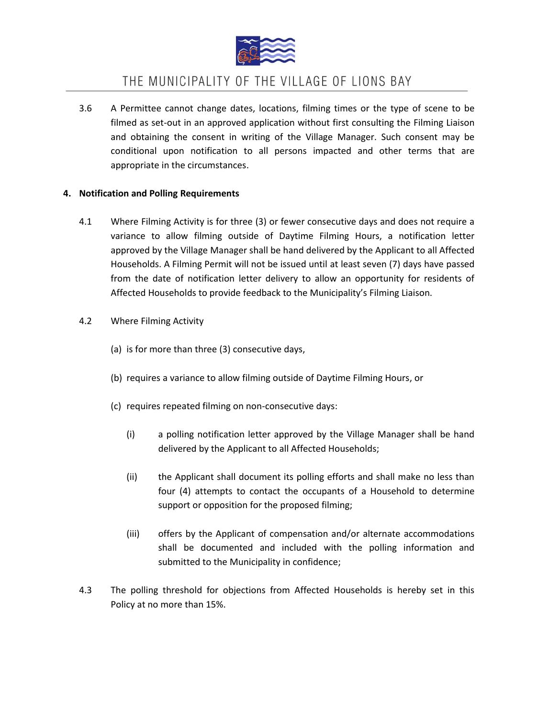

3.6 A Permittee cannot change dates, locations, filming times or the type of scene to be filmed as set-out in an approved application without first consulting the Filming Liaison and obtaining the consent in writing of the Village Manager. Such consent may be conditional upon notification to all persons impacted and other terms that are appropriate in the circumstances.

## **4. Notification and Polling Requirements**

- 4.1 Where Filming Activity is for three (3) or fewer consecutive days and does not require a variance to allow filming outside of Daytime Filming Hours, a notification letter approved by the Village Manager shall be hand delivered by the Applicant to all Affected Households. A Filming Permit will not be issued until at least seven (7) days have passed from the date of notification letter delivery to allow an opportunity for residents of Affected Households to provide feedback to the Municipality's Filming Liaison.
- 4.2 Where Filming Activity
	- (a) is for more than three (3) consecutive days,
	- (b) requires a variance to allow filming outside of Daytime Filming Hours, or
	- (c) requires repeated filming on non-consecutive days:
		- (i) a polling notification letter approved by the Village Manager shall be hand delivered by the Applicant to all Affected Households;
		- (ii) the Applicant shall document its polling efforts and shall make no less than four (4) attempts to contact the occupants of a Household to determine support or opposition for the proposed filming;
		- (iii) offers by the Applicant of compensation and/or alternate accommodations shall be documented and included with the polling information and submitted to the Municipality in confidence;
- 4.3 The polling threshold for objections from Affected Households is hereby set in this Policy at no more than 15%.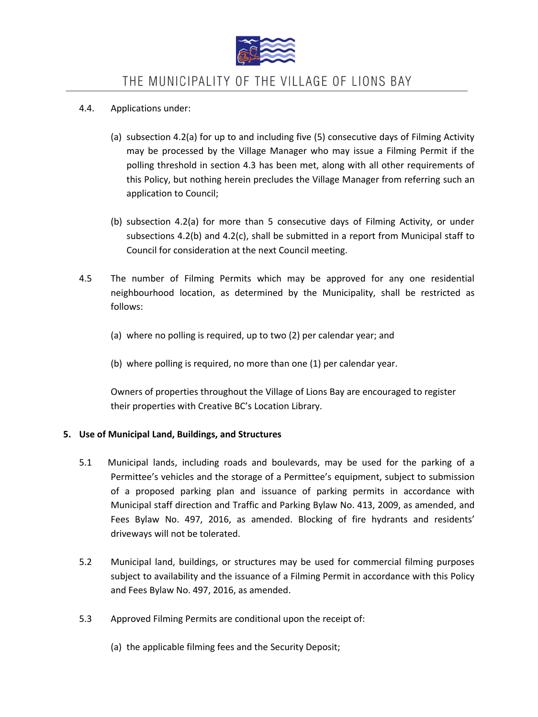

- 4.4. Applications under:
	- (a) subsection 4.2(a) for up to and including five (5) consecutive days of Filming Activity may be processed by the Village Manager who may issue a Filming Permit if the polling threshold in section 4.3 has been met, along with all other requirements of this Policy, but nothing herein precludes the Village Manager from referring such an application to Council;
	- (b) subsection 4.2(a) for more than 5 consecutive days of Filming Activity, or under subsections 4.2(b) and 4.2(c), shall be submitted in a report from Municipal staff to Council for consideration at the next Council meeting.
- 4.5 The number of Filming Permits which may be approved for any one residential neighbourhood location, as determined by the Municipality, shall be restricted as follows:
	- (a) where no polling is required, up to two (2) per calendar year; and
	- (b) where polling is required, no more than one (1) per calendar year.

Owners of properties throughout the Village of Lions Bay are encouraged to register their properties with Creative BC's Location Library.

## **5. Use of Municipal Land, Buildings, and Structures**

- 5.1 Municipal lands, including roads and boulevards, may be used for the parking of a Permittee's vehicles and the storage of a Permittee's equipment, subject to submission of a proposed parking plan and issuance of parking permits in accordance with Municipal staff direction and Traffic and Parking Bylaw No. 413, 2009, as amended, and Fees Bylaw No. 497, 2016, as amended. Blocking of fire hydrants and residents' driveways will not be tolerated.
- 5.2 Municipal land, buildings, or structures may be used for commercial filming purposes subject to availability and the issuance of a Filming Permit in accordance with this Policy and Fees Bylaw No. 497, 2016, as amended.
- 5.3 Approved Filming Permits are conditional upon the receipt of:
	- (a) the applicable filming fees and the Security Deposit;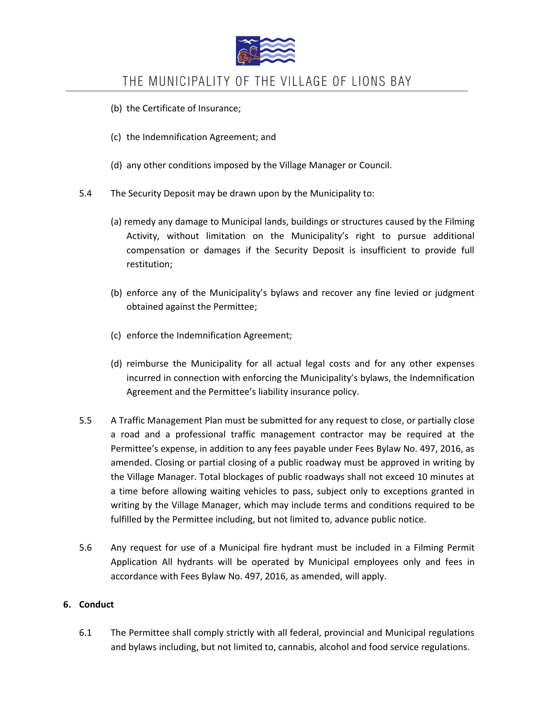

- (b) the Certificate of Insurance;
- (c) the Indemnification Agreement; and
- (d) any other conditions imposed by the Village Manager or Council.
- 5.4 The Security Deposit may be drawn upon by the Municipality to:
	- (a) remedy any damage to Municipal lands, buildings or structures caused by the Filming Activity, without limitation on the Municipality's right to pursue additional compensation or damages if the Security Deposit is insufficient to provide full restitution;
	- (b) enforce any of the Municipality's bylaws and recover any fine levied or judgment obtained against the Permittee;
	- (c) enforce the Indemnification Agreement;
	- (d) reimburse the Municipality for all actual legal costs and for any other expenses incurred in connection with enforcing the Municipality's bylaws, the Indemnification Agreement and the Permittee's liability insurance policy.
- 5.5 A Traffic Management Plan must be submitted for any request to close, or partially close a road and a professional traffic management contractor may be required at the Permittee's expense, in addition to any fees payable under Fees Bylaw No. 497, 2016, as amended. Closing or partial closing of a public roadway must be approved in writing by the Village Manager. Total blockages of public roadways shall not exceed 10 minutes at a time before allowing waiting vehicles to pass, subject only to exceptions granted in writing by the Village Manager, which may include terms and conditions required to be fulfilled by the Permittee including, but not limited to, advance public notice.
- 5.6 Any request for use of a Municipal fire hydrant must be included in a Filming Permit Application All hydrants will be operated by Municipal employees only and fees in accordance with Fees Bylaw No. 497, 2016, as amended, will apply.

### **6. Conduct**

6.1 The Permittee shall comply strictly with all federal, provincial and Municipal regulations and bylaws including, but not limited to, cannabis, alcohol and food service regulations.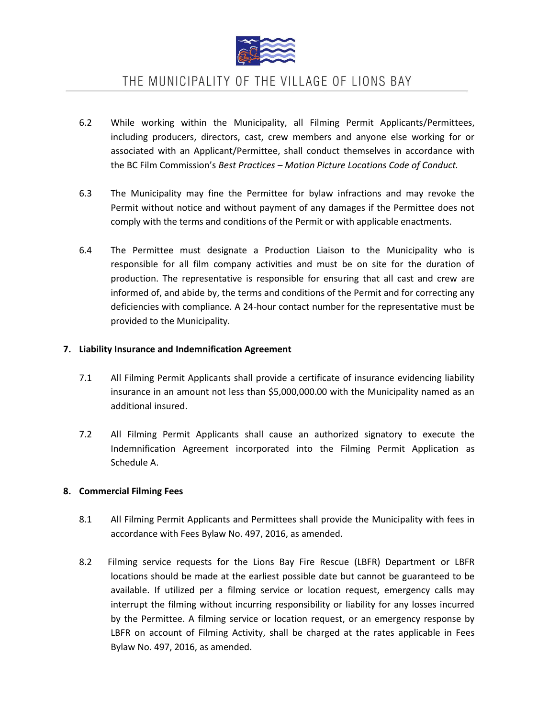

- 6.2 While working within the Municipality, all Filming Permit Applicants/Permittees, including producers, directors, cast, crew members and anyone else working for or associated with an Applicant/Permittee, shall conduct themselves in accordance with the BC Film Commission's *Best Practices – Motion Picture Locations Code of Conduct.*
- 6.3 The Municipality may fine the Permittee for bylaw infractions and may revoke the Permit without notice and without payment of any damages if the Permittee does not comply with the terms and conditions of the Permit or with applicable enactments.
- 6.4 The Permittee must designate a Production Liaison to the Municipality who is responsible for all film company activities and must be on site for the duration of production. The representative is responsible for ensuring that all cast and crew are informed of, and abide by, the terms and conditions of the Permit and for correcting any deficiencies with compliance. A 24-hour contact number for the representative must be provided to the Municipality.

### **7. Liability Insurance and Indemnification Agreement**

- 7.1 All Filming Permit Applicants shall provide a certificate of insurance evidencing liability insurance in an amount not less than \$5,000,000.00 with the Municipality named as an additional insured.
- 7.2 All Filming Permit Applicants shall cause an authorized signatory to execute the Indemnification Agreement incorporated into the Filming Permit Application as Schedule A.

### **8. Commercial Filming Fees**

- 8.1 All Filming Permit Applicants and Permittees shall provide the Municipality with fees in accordance with Fees Bylaw No. 497, 2016, as amended.
- 8.2 Filming service requests for the Lions Bay Fire Rescue (LBFR) Department or LBFR locations should be made at the earliest possible date but cannot be guaranteed to be available. If utilized per a filming service or location request, emergency calls may interrupt the filming without incurring responsibility or liability for any losses incurred by the Permittee. A filming service or location request, or an emergency response by LBFR on account of Filming Activity, shall be charged at the rates applicable in Fees Bylaw No. 497, 2016, as amended.